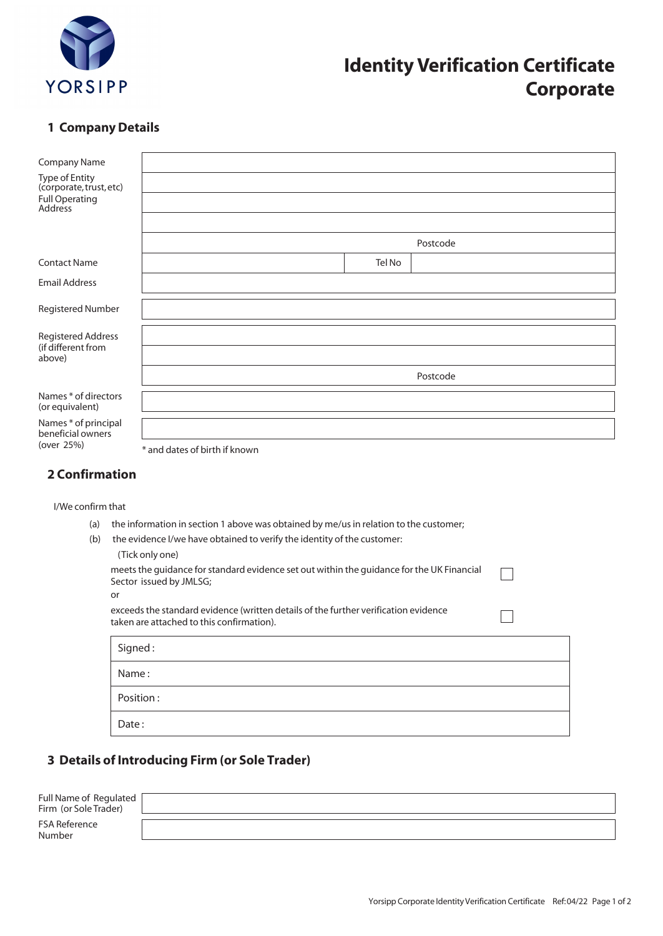

# **Identity Verification Certificate Corporate**

#### **1 Company Details**

| <b>Company Name</b>                       |                               |          |
|-------------------------------------------|-------------------------------|----------|
| Type of Entity<br>(corporate, trust, etc) |                               |          |
| Full Operating<br>Address                 |                               |          |
|                                           |                               |          |
|                                           |                               | Postcode |
| <b>Contact Name</b>                       | Tel No                        |          |
| <b>Email Address</b>                      |                               |          |
| Registered Number                         |                               |          |
| <b>Registered Address</b>                 |                               |          |
| (if different from<br>above)              |                               |          |
|                                           |                               | Postcode |
| Names * of directors<br>(or equivalent)   |                               |          |
| Names * of principal<br>beneficial owners |                               |          |
| (over 25%)                                | * and dates of birth if known |          |

#### **2 Confirmation**

I/We confirm that

- (a) the information in section 1 above was obtained by me/us in relation to the customer;
- (b) the evidence I/we have obtained to verify the identity of the customer:

| (Tick only one)                                                                           |
|-------------------------------------------------------------------------------------------|
| meets the quidance for standard evidence set out within the quidance for the UK Financial |
| Sector issued by JMLSG;                                                                   |
| or                                                                                        |

| exceeds the standard evidence (written details of the further verification evidence |
|-------------------------------------------------------------------------------------|
| taken are attached to this confirmation).                                           |

| Signed:   |  |
|-----------|--|
| Name:     |  |
| Position: |  |
| Date:     |  |

### **3 Details of Introducing Firm (or Sole Trader)**

| Full Name of Regulated  <br>Firm (or Sole Trader) |  |
|---------------------------------------------------|--|
| <b>FSA Reference</b><br>Number                    |  |

 $\Box$ 

 $\Box$